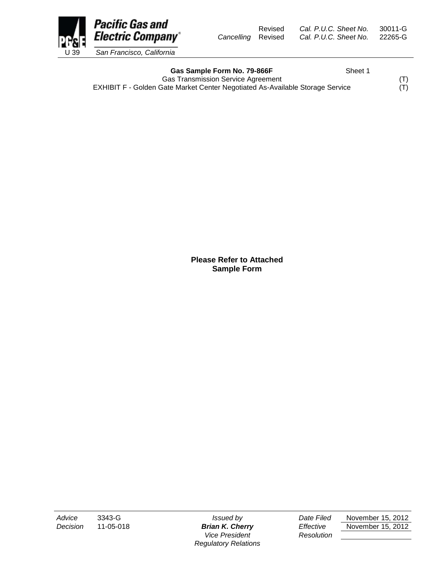Revised *Cal. P.U.C. Sheet No.* 30011-G *Cancelling* Revised *Cal. P.U.C. Sheet No.* 22265-G



Gas Sample Form No. 79-866F<br>
Sheet 1

Gas Transmission Service Agreement<br>
Gate Market Center Negotiated As-Available Storage Service (T) EXHIBIT F - Golden Gate Market Center Negotiated As-Available Storage Service

**Please Refer to Attached Sample Form**

*Vice President Resolution Regulatory Relations*

*Advice* 3343-G *Issued by Date Filed* November 15, 2012 *Decision* 11-05-018 *Brian K. Cherry Effective* November 15, 2012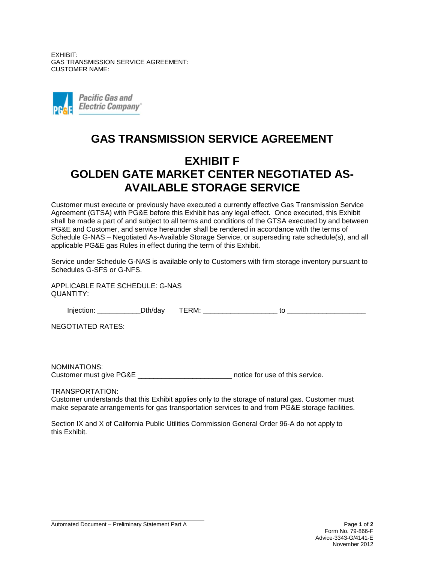EXHIBIT: GAS TRANSMISSION SERVICE AGREEMENT: CUSTOMER NAME:



## **GAS TRANSMISSION SERVICE AGREEMENT**

## **EXHIBIT F GOLDEN GATE MARKET CENTER NEGOTIATED AS-AVAILABLE STORAGE SERVICE**

Customer must execute or previously have executed a currently effective Gas Transmission Service Agreement (GTSA) with PG&E before this Exhibit has any legal effect. Once executed, this Exhibit shall be made a part of and subject to all terms and conditions of the GTSA executed by and between PG&E and Customer, and service hereunder shall be rendered in accordance with the terms of Schedule G-NAS – Negotiated As-Available Storage Service, or superseding rate schedule(s), and all applicable PG&E gas Rules in effect during the term of this Exhibit.

Service under Schedule G-NAS is available only to Customers with firm storage inventory pursuant to Schedules G-SFS or G-NFS.

APPLICABLE RATE SCHEDULE: G-NAS QUANTITY:

| .<br>ш | ALL. | ____<br>. IV/L<br> | . . |
|--------|------|--------------------|-----|
|        |      |                    |     |

NEGOTIATED RATES:

NOMINATIONS: Customer must give PG&E \_\_\_\_\_\_\_\_\_\_\_\_\_\_\_\_\_\_\_\_\_\_\_\_\_\_\_\_ notice for use of this service.

TRANSPORTATION:

Customer understands that this Exhibit applies only to the storage of natural gas. Customer must make separate arrangements for gas transportation services to and from PG&E storage facilities.

Section IX and X of California Public Utilities Commission General Order 96-A do not apply to this Exhibit.